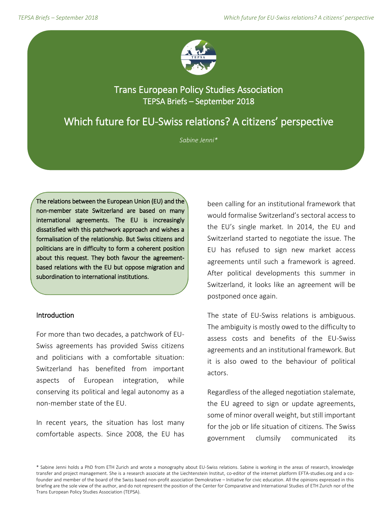

## Trans European Policy Studies Association TEPSA Briefs – September 2018

# Which future for EU-Swiss relations? A citizens' perspective

*Sabine Jenni\**

The relations between the European Union (EU) and the non-member state Switzerland are based on many international agreements. The EU is increasingly dissatisfied with this patchwork approach and wishes a formalisation of the relationship. But Swiss citizens and politicians are in difficulty to form a coherent position about this request. They both favour the agreementbased relations with the EU but oppose migration and subordination to international institutions.

## Introduction

For more than two decades, a patchwork of EU-Swiss agreements has provided Swiss citizens and politicians with a comfortable situation: Switzerland has benefited from important aspects of European integration, while conserving its political and legal autonomy as a non-member state of the EU.

In recent years, the situation has lost many comfortable aspects. Since 2008, the EU has

been calling for an institutional framework that would formalise Switzerland's sectoral access to the EU's single market. In 2014, the EU and Switzerland started to negotiate the issue. The EU has refused to sign new market access agreements until such a framework is agreed. After political developments this summer in Switzerland, it looks like an agreement will be postponed once again.

The state of EU-Swiss relations is ambiguous. The ambiguity is mostly owed to the difficulty to assess costs and benefits of the EU-Swiss agreements and an institutional framework. But it is also owed to the behaviour of political actors.

Regardless of the alleged negotiation stalemate, the EU agreed to sign or update agreements, some of minor overall weight, but still important for the job or life situation of citizens. The Swiss government clumsily communicated its

\* Sabine Jenni holds a PhD from ETH Zurich and wrote a monography about EU-Swiss relations. Sabine is working in the areas of research, knowledge transfer and project management. She is a research associate at the Liechtenstein Institut, co-editor of the internet platform EFTA-studies.org and a cofounder and member of the board of the Swiss based non-profit association Demokrative – Initiative for civic education. All the opinions expressed in this briefing are the sole view of the author, and do not represent the position of the Center for Comparative and International Studies of ETH Zurich nor of the Trans European Policy Studies Association (TEPSA).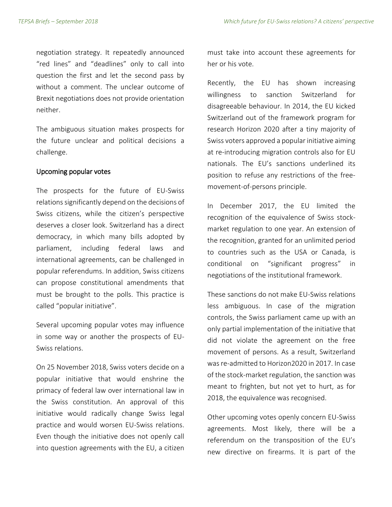negotiation strategy. It repeatedly announced "red lines" and "deadlines" only to call into question the first and let the second pass by without a comment. The unclear outcome of Brexit negotiations does not provide orientation neither.

The ambiguous situation makes prospects for the future unclear and political decisions a challenge.

#### Upcoming popular votes

The prospects for the future of EU-Swiss relations significantly depend on the decisions of Swiss citizens, while the citizen's perspective deserves a closer look. Switzerland has a direct democracy, in which many bills adopted by parliament, including federal laws and international agreements, can be challenged in popular referendums. In addition, Swiss citizens can propose constitutional amendments that must be brought to the polls. This practice is called "popular initiative".

Several upcoming popular votes may influence in some way or another the prospects of EU-Swiss relations.

On 25 November 2018, Swiss voters decide on a popular initiative that would enshrine the primacy of federal law over international law in the Swiss constitution. An approval of this initiative would radically change Swiss legal practice and would worsen EU-Swiss relations. Even though the initiative does not openly call into question agreements with the EU, a citizen

must take into account these agreements for her or his vote.

Recently, the EU has shown increasing willingness to sanction Switzerland for disagreeable behaviour. In 2014, the EU kicked Switzerland out of the framework program for research Horizon 2020 after a tiny majority of Swiss voters approved a popular initiative aiming at re-introducing migration controls also for EU nationals. The EU's sanctions underlined its position to refuse any restrictions of the freemovement-of-persons principle.

In December 2017, the EU limited the recognition of the equivalence of Swiss stockmarket regulation to one year. An extension of the recognition, granted for an unlimited period to countries such as the USA or Canada, is conditional on "significant progress" in negotiations of the institutional framework.

These sanctions do not make EU-Swiss relations less ambiguous. In case of the migration controls, the Swiss parliament came up with an only partial implementation of the initiative that did not violate the agreement on the free movement of persons. As a result, Switzerland was re-admitted to Horizon2020 in 2017. In case of the stock-market regulation, the sanction was meant to frighten, but not yet to hurt, as for 2018, the equivalence was recognised.

Other upcoming votes openly concern EU-Swiss agreements. Most likely, there will be a referendum on the transposition of the EU's new directive on firearms. It is part of the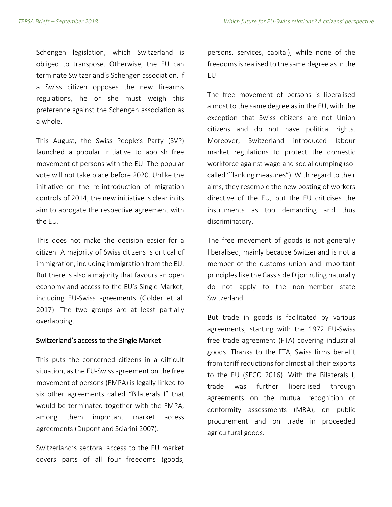Schengen legislation, which Switzerland is obliged to transpose. Otherwise, the EU can terminate Switzerland's Schengen association. If a Swiss citizen opposes the new firearms regulations, he or she must weigh this preference against the Schengen association as a whole.

This August, the Swiss People's Party (SVP) launched a popular initiative to abolish free movement of persons with the EU. The popular vote will not take place before 2020. Unlike the initiative on the re-introduction of migration controls of 2014, the new initiative is clear in its aim to abrogate the respective agreement with the EU.

This does not make the decision easier for a citizen. A majority of Swiss citizens is critical of immigration, including immigration from the EU. But there is also a majority that favours an open economy and access to the EU's Single Market, including EU-Swiss agreements (Golder et al. 2017). The two groups are at least partially overlapping.

#### Switzerland's access to the Single Market

This puts the concerned citizens in a difficult situation, as the EU-Swiss agreement on the free movement of persons (FMPA) is legally linked to six other agreements called "Bilaterals I" that would be terminated together with the FMPA, among them important market access agreements (Dupont and Sciarini 2007).

Switzerland's sectoral access to the EU market covers parts of all four freedoms (goods,

persons, services, capital), while none of the freedoms is realised to the same degree as in the EU.

The free movement of persons is liberalised almost to the same degree as in the EU, with the exception that Swiss citizens are not Union citizens and do not have political rights. Moreover, Switzerland introduced labour market regulations to protect the domestic workforce against wage and social dumping (socalled "flanking measures"). With regard to their aims, they resemble the new posting of workers directive of the EU, but the EU criticises the instruments as too demanding and thus discriminatory.

The free movement of goods is not generally liberalised, mainly because Switzerland is not a member of the customs union and important principles like the Cassis de Dijon ruling naturally do not apply to the non-member state Switzerland.

But trade in goods is facilitated by various agreements, starting with the 1972 EU-Swiss free trade agreement (FTA) covering industrial goods. Thanks to the FTA, Swiss firms benefit from tariff reductions for almost all their exports to the EU (SECO 2016). With the Bilaterals I, trade was further liberalised through agreements on the mutual recognition of conformity assessments (MRA), on public procurement and on trade in proceeded agricultural goods.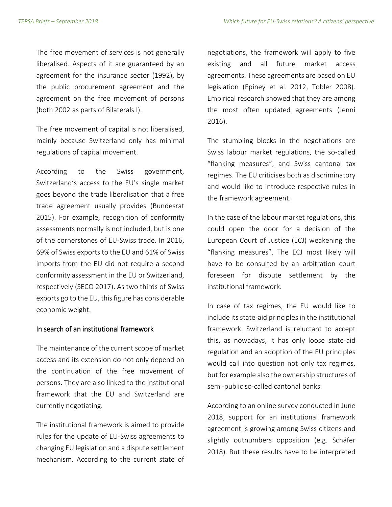The free movement of services is not generally liberalised. Aspects of it are guaranteed by an agreement for the insurance sector (1992), by the public procurement agreement and the agreement on the free movement of persons (both 2002 as parts of Bilaterals I).

The free movement of capital is not liberalised, mainly because Switzerland only has minimal regulations of capital movement.

According to the Swiss government, Switzerland's access to the EU's single market goes beyond the trade liberalisation that a free trade agreement usually provides (Bundesrat 2015). For example, recognition of conformity assessments normally is not included, but is one of the cornerstones of EU-Swiss trade. In 2016, 69% of Swiss exports to the EU and 61% of Swiss imports from the EU did not require a second conformity assessment in the EU or Switzerland, respectively (SECO 2017). As two thirds of Swiss exports go to the EU, this figure has considerable economic weight.

## In search of an institutional framework

The maintenance of the current scope of market access and its extension do not only depend on the continuation of the free movement of persons. They are also linked to the institutional framework that the EU and Switzerland are currently negotiating.

The institutional framework is aimed to provide rules for the update of EU-Swiss agreements to changing EU legislation and a dispute settlement mechanism. According to the current state of

negotiations, the framework will apply to five existing and all future market access agreements. These agreements are based on EU legislation (Epiney et al. 2012, Tobler 2008). Empirical research showed that they are among the most often updated agreements (Jenni 2016).

The stumbling blocks in the negotiations are Swiss labour market regulations, the so-called "flanking measures", and Swiss cantonal tax regimes. The EU criticises both as discriminatory and would like to introduce respective rules in the framework agreement.

In the case of the labour market regulations, this could open the door for a decision of the European Court of Justice (ECJ) weakening the "flanking measures". The ECJ most likely will have to be consulted by an arbitration court foreseen for dispute settlement by the institutional framework.

In case of tax regimes, the EU would like to include its state-aid principles in the institutional framework. Switzerland is reluctant to accept this, as nowadays, it has only loose state-aid regulation and an adoption of the EU principles would call into question not only tax regimes, but for example also the ownership structures of semi-public so-called cantonal banks.

According to an online survey conducted in June 2018, support for an institutional framework agreement is growing among Swiss citizens and slightly outnumbers opposition (e.g. Schäfer 2018). But these results have to be interpreted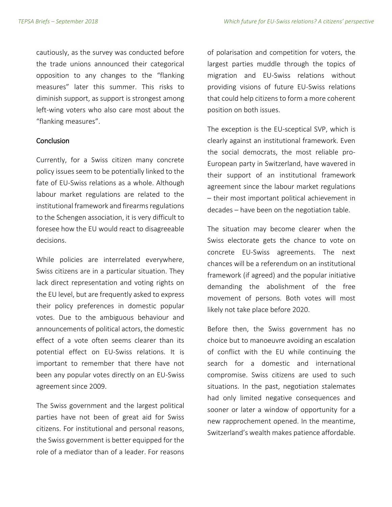cautiously, as the survey was conducted before the trade unions announced their categorical opposition to any changes to the "flanking measures" later this summer. This risks to diminish support, as support is strongest among left-wing voters who also care most about the "flanking measures".

### **Conclusion**

Currently, for a Swiss citizen many concrete policy issues seem to be potentially linked to the fate of EU-Swiss relations as a whole. Although labour market regulations are related to the institutional framework and firearms regulations to the Schengen association, it is very difficult to foresee how the EU would react to disagreeable decisions.

While policies are interrelated everywhere, Swiss citizens are in a particular situation. They lack direct representation and voting rights on the EU level, but are frequently asked to express their policy preferences in domestic popular votes. Due to the ambiguous behaviour and announcements of political actors, the domestic effect of a vote often seems clearer than its potential effect on EU-Swiss relations. It is important to remember that there have not been any popular votes directly on an EU-Swiss agreement since 2009.

The Swiss government and the largest political parties have not been of great aid for Swiss citizens. For institutional and personal reasons, the Swiss government is better equipped for the role of a mediator than of a leader. For reasons

of polarisation and competition for voters, the largest parties muddle through the topics of migration and EU-Swiss relations without providing visions of future EU-Swiss relations that could help citizens to form a more coherent position on both issues.

The exception is the EU-sceptical SVP, which is clearly against an institutional framework. Even the social democrats, the most reliable pro-European party in Switzerland, have wavered in their support of an institutional framework agreement since the labour market regulations – their most important political achievement in decades – have been on the negotiation table.

The situation may become clearer when the Swiss electorate gets the chance to vote on concrete EU-Swiss agreements. The next chances will be a referendum on an institutional framework (if agreed) and the popular initiative demanding the abolishment of the free movement of persons. Both votes will most likely not take place before 2020.

Before then, the Swiss government has no choice but to manoeuvre avoiding an escalation of conflict with the EU while continuing the search for a domestic and international compromise. Swiss citizens are used to such situations. In the past, negotiation stalemates had only limited negative consequences and sooner or later a window of opportunity for a new rapprochement opened. In the meantime, Switzerland's wealth makes patience affordable.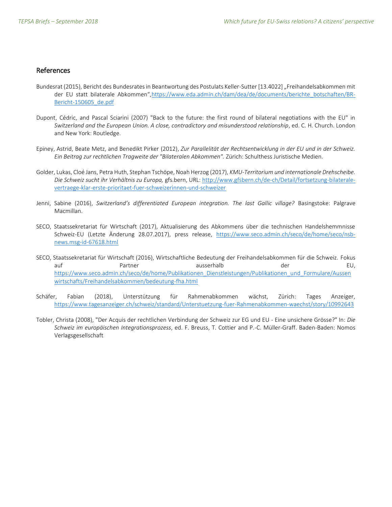## References

- Bundesrat (2015), Bericht des Bundesrates in Beantwortung des Postulats Keller-Sutter [13.4022] "Freihandelsabkommen mit der EU statt bilaterale Abkommen",[https://www.eda.admin.ch/dam/dea/de/documents/berichte\\_botschaften/BR-](https://www.eda.admin.ch/dam/dea/de/documents/berichte_botschaften/BR-Bericht-150605_de.pdf)[Bericht-150605\\_de.pdf](https://www.eda.admin.ch/dam/dea/de/documents/berichte_botschaften/BR-Bericht-150605_de.pdf)
- Dupont, Cédric, and Pascal Sciarini (2007) "Back to the future: the first round of bilateral negotiations with the EU" in *Switzerland and the European Union. A close, contradictory and misunderstood relationship*, ed. C. H. Church. London and New York: Routledge.
- Epiney, Astrid, Beate Metz, and Benedikt Pirker (2012), *Zur Parallelität der Rechtsentwicklung in der EU und in der Schweiz. Ein Beitrag zur rechtlichen Tragweite der "Bilateralen Abkommen".* Zürich: Schulthess Juristische Medien.
- Golder, Lukas, Cloé Jans, Petra Huth, Stephan Tschöpe, Noah Herzog (2017), *KMU-Territorium und internationale Drehscheibe. Die Schweiz sucht ihr Verhältnis zu Europa,* gfs.bern, URL: [http://www.gfsbern.ch/de-ch/Detail/fortsetzung-bilaterale](http://www.gfsbern.ch/de-ch/Detail/fortsetzung-bilaterale-vertraege-klar-erste-prioritaet-fuer-schweizerinnen-und-schweizer)[vertraege-klar-erste-prioritaet-fuer-schweizerinnen-und-schweizer](http://www.gfsbern.ch/de-ch/Detail/fortsetzung-bilaterale-vertraege-klar-erste-prioritaet-fuer-schweizerinnen-und-schweizer)
- Jenni, Sabine (2016), *Switzerland's differentiated European integration. The last Gallic village?* Basingstoke: Palgrave Macmillan.
- SECO, Staatssekretariat für Wirtschaft (2017), Aktualisierung des Abkommens über die technischen Handelshemmnisse Schweiz-EU (Letzte Änderung 28.07.2017), press release, [https://www.seco.admin.ch/seco/de/home/seco/nsb](https://www.seco.admin.ch/seco/de/home/seco/nsb-news.msg-id-67618.html)[news.msg-id-67618.html](https://www.seco.admin.ch/seco/de/home/seco/nsb-news.msg-id-67618.html)
- SECO, Staatssekretariat für Wirtschaft (2016), Wirtschaftliche Bedeutung der Freihandelsabkommen für die Schweiz. Fokus auf ausserhalb der EU, EU, et ausserhalb der EU, EU, et ausserhalb der EU, et ausserhalb der EU, et ausserhalb [https://www.seco.admin.ch/seco/de/home/Publikationen\\_Dienstleistungen/Publikationen\\_und\\_Formulare/Aussen](https://www.seco.admin.ch/seco/de/home/Publikationen_Dienstleistungen/Publikationen_und_Formulare/Aussenwirtschafts/Freihandelsabkommen/bedeutung-fha.html) [wirtschafts/Freihandelsabkommen/bedeutung-fha.html](https://www.seco.admin.ch/seco/de/home/Publikationen_Dienstleistungen/Publikationen_und_Formulare/Aussenwirtschafts/Freihandelsabkommen/bedeutung-fha.html)
- Schäfer, Fabian (2018), Unterstützung für Rahmenabkommen wächst, Zürich: Tages Anzeiger, <https://www.tagesanzeiger.ch/schweiz/standard/Unterstuetzung-fuer-Rahmenabkommen-waechst/story/10992643>
- Tobler, Christa (2008), "Der Acquis der rechtlichen Verbindung der Schweiz zur EG und EU Eine unsichere Grösse?" In: *Die Schweiz im europäischen Integrationsprozess*, ed. F. Breuss, T. Cottier and P.-C. Müller-Graff. Baden-Baden: Nomos Verlagsgesellschaft